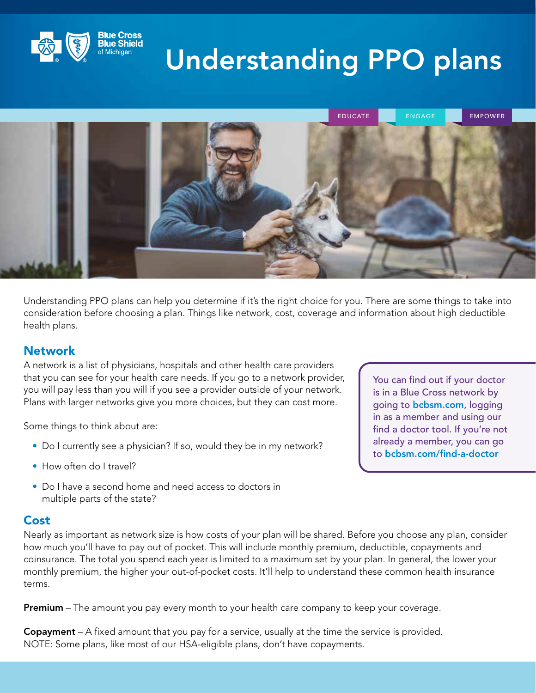

# Understanding PPO plans



Understanding PPO plans can help you determine if it's the right choice for you. There are some things to take into consideration before choosing a plan. Things like network, cost, coverage and information about high deductible health plans.

### **Network**

A network is a list of physicians, hospitals and other health care providers that you can see for your health care needs. If you go to a network provider, you will pay less than you will if you see a provider outside of your network. Plans with larger networks give you more choices, but they can cost more.

Some things to think about are:

- Do I currently see a physician? If so, would they be in my network?
- How often do I travel?
- Do I have a second home and need access to doctors in multiple parts of the state?

#### **Cost**

Nearly as important as network size is how costs of your plan will be shared. Before you choose any plan, consider how much you'll have to pay out of pocket. This will include monthly premium, deductible, copayments and coinsurance. The total you spend each year is limited to a maximum set by your plan. In general, the lower your monthly premium, the higher your out-of-pocket costs. It'll help to understand these common health insurance terms.

**Premium** – The amount you pay every month to your health care company to keep your coverage.

Copayment – A fixed amount that you pay for a service, usually at the time the service is provided. NOTE: Some plans, like most of our HSA-eligible plans, don't have copayments.

You can find out if your doctor is in a Blue Cross network by going to [bcbsm.com](https://www.bcbsm.com/), logging in as a member and using our find a doctor tool. If you're not already a member, you can go to [bcbsm.com/find-a-doctor](https://www.bcbsm.com/index/find-a-doctor.html)